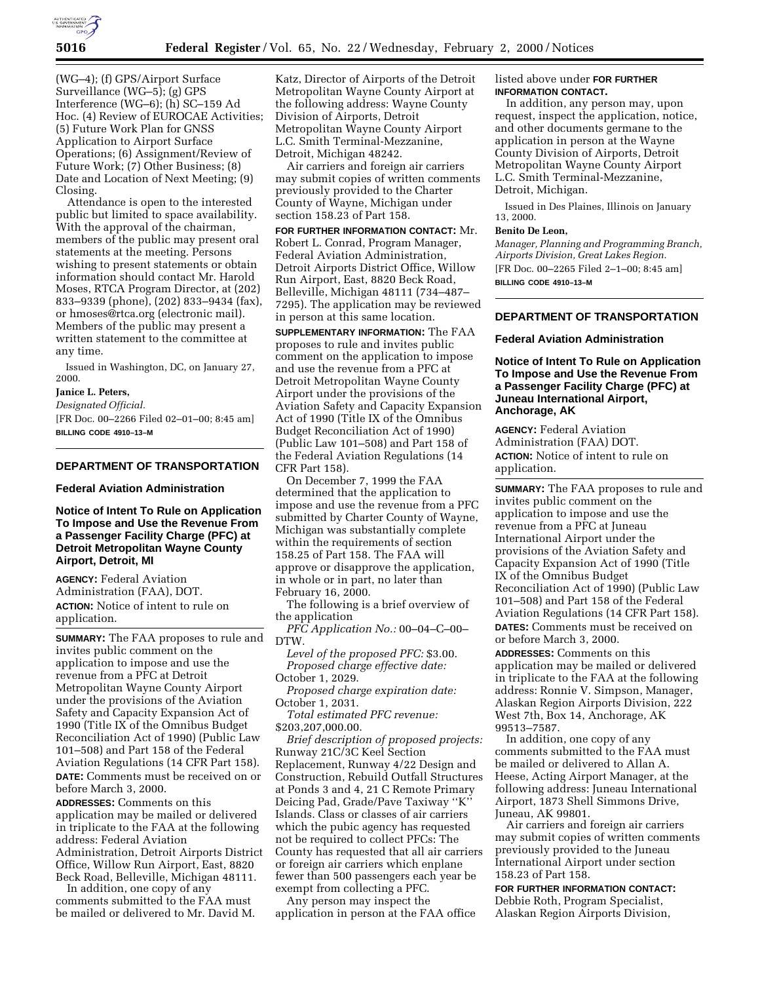

(WG–4); (f) GPS/Airport Surface Surveillance (WG–5); (g) GPS Interference (WG–6); (h) SC–159 Ad Hoc. (4) Review of EUROCAE Activities; (5) Future Work Plan for GNSS Application to Airport Surface Operations; (6) Assignment/Review of Future Work; (7) Other Business; (8) Date and Location of Next Meeting; (9) Closing.

Attendance is open to the interested public but limited to space availability. With the approval of the chairman, members of the public may present oral statements at the meeting. Persons wishing to present statements or obtain information should contact Mr. Harold Moses, RTCA Program Director, at (202) 833–9339 (phone), (202) 833–9434 (fax), or hmoses@rtca.org (electronic mail). Members of the public may present a written statement to the committee at any time.

Issued in Washington, DC, on January 27, 2000.

#### **Janice L. Peters,**

*Designated Official.*

[FR Doc. 00–2266 Filed 02–01–00; 8:45 am] **BILLING CODE 4910–13–M**

# **DEPARTMENT OF TRANSPORTATION**

### **Federal Aviation Administration**

## **Notice of Intent To Rule on Application To Impose and Use the Revenue From a Passenger Facility Charge (PFC) at Detroit Metropolitan Wayne County Airport, Detroit, MI**

**AGENCY:** Federal Aviation Administration (FAA), DOT. **ACTION:** Notice of intent to rule on application.

**SUMMARY:** The FAA proposes to rule and invites public comment on the application to impose and use the revenue from a PFC at Detroit Metropolitan Wayne County Airport under the provisions of the Aviation Safety and Capacity Expansion Act of 1990 (Title IX of the Omnibus Budget Reconciliation Act of 1990) (Public Law 101–508) and Part 158 of the Federal Aviation Regulations (14 CFR Part 158). **DATE:** Comments must be received on or before March 3, 2000.

**ADDRESSES:** Comments on this application may be mailed or delivered in triplicate to the FAA at the following address: Federal Aviation Administration, Detroit Airports District Office, Willow Run Airport, East, 8820 Beck Road, Belleville, Michigan 48111.

In addition, one copy of any comments submitted to the FAA must be mailed or delivered to Mr. David M.

Katz, Director of Airports of the Detroit Metropolitan Wayne County Airport at the following address: Wayne County Division of Airports, Detroit Metropolitan Wayne County Airport L.C. Smith Terminal-Mezzanine, Detroit, Michigan 48242.

Air carriers and foreign air carriers may submit copies of written comments previously provided to the Charter County of Wayne, Michigan under section 158.23 of Part 158.

**FOR FURTHER INFORMATION CONTACT:** Mr. Robert L. Conrad, Program Manager, Federal Aviation Administration, Detroit Airports District Office, Willow Run Airport, East, 8820 Beck Road, Belleville, Michigan 48111 (734–487– 7295). The application may be reviewed in person at this same location.

**SUPPLEMENTARY INFORMATION:** The FAA proposes to rule and invites public comment on the application to impose and use the revenue from a PFC at Detroit Metropolitan Wayne County Airport under the provisions of the Aviation Safety and Capacity Expansion Act of 1990 (Title IX of the Omnibus Budget Reconciliation Act of 1990) (Public Law 101–508) and Part 158 of the Federal Aviation Regulations (14 CFR Part 158).

On December 7, 1999 the FAA determined that the application to impose and use the revenue from a PFC submitted by Charter County of Wayne, Michigan was substantially complete within the requirements of section 158.25 of Part 158. The FAA will approve or disapprove the application, in whole or in part, no later than February 16, 2000.

The following is a brief overview of the application

*PFC Application No.:* 00–04–C–00– DTW.

*Level of the proposed PFC:* \$3.00. *Proposed charge effective date:* October 1, 2029.

*Proposed charge expiration date:* October 1, 2031.

*Total estimated PFC revenue:* \$203,207,000.00.

*Brief description of proposed projects:* Runway 21C/3C Keel Section Replacement, Runway 4/22 Design and Construction, Rebuild Outfall Structures at Ponds 3 and 4, 21 C Remote Primary Deicing Pad, Grade/Pave Taxiway ''K'' Islands. Class or classes of air carriers which the pubic agency has requested not be required to collect PFCs: The County has requested that all air carriers or foreign air carriers which enplane fewer than 500 passengers each year be exempt from collecting a PFC.

Any person may inspect the application in person at the FAA office

## listed above under **FOR FURTHER INFORMATION CONTACT.**

In addition, any person may, upon request, inspect the application, notice, and other documents germane to the application in person at the Wayne County Division of Airports, Detroit Metropolitan Wayne County Airport L.C. Smith Terminal-Mezzanine, Detroit, Michigan.

Issued in Des Plaines, Illinois on January 13, 2000.

# **Benito De Leon,**

*Manager, Planning and Programming Branch, Airports Division, Great Lakes Region.* [FR Doc. 00–2265 Filed 2–1–00; 8:45 am] **BILLING CODE 4910–13–M**

### **DEPARTMENT OF TRANSPORTATION**

### **Federal Aviation Administration**

**Notice of Intent To Rule on Application To Impose and Use the Revenue From a Passenger Facility Charge (PFC) at Juneau International Airport, Anchorage, AK**

**AGENCY:** Federal Aviation Administration (FAA) DOT. **ACTION:** Notice of intent to rule on application.

**SUMMARY:** The FAA proposes to rule and invites public comment on the application to impose and use the revenue from a PFC at Juneau International Airport under the provisions of the Aviation Safety and Capacity Expansion Act of 1990 (Title IX of the Omnibus Budget Reconciliation Act of 1990) (Public Law 101–508) and Part 158 of the Federal Aviation Regulations (14 CFR Part 158). **DATES:** Comments must be received on or before March 3, 2000. **ADDRESSES:** Comments on this application may be mailed or delivered in triplicate to the FAA at the following address: Ronnie V. Simpson, Manager, Alaskan Region Airports Division, 222

West 7th, Box 14, Anchorage, AK 99513–7587.

In addition, one copy of any comments submitted to the FAA must be mailed or delivered to Allan A. Heese, Acting Airport Manager, at the following address: Juneau International Airport, 1873 Shell Simmons Drive, Juneau, AK 99801.

Air carriers and foreign air carriers may submit copies of written comments previously provided to the Juneau International Airport under section 158.23 of Part 158.

**FOR FURTHER INFORMATION CONTACT:** Debbie Roth, Program Specialist, Alaskan Region Airports Division,